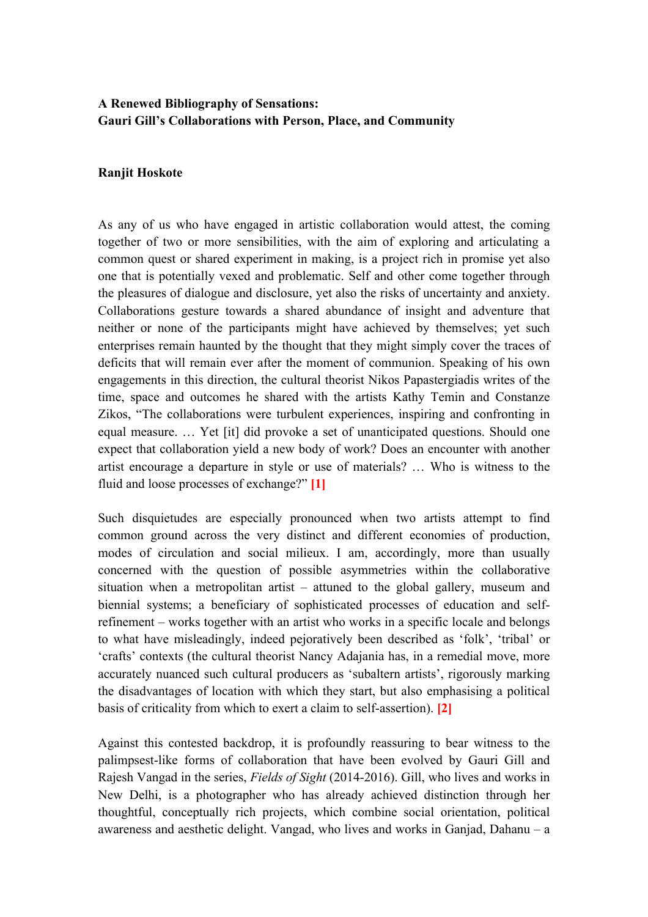## **A Renewed Bibliography of Sensations: Gauri Gill's Collaborations with Person, Place, and Community**

## **Ranjit Hoskote**

As any of us who have engaged in artistic collaboration would attest, the coming together of two or more sensibilities, with the aim of exploring and articulating a common quest or shared experiment in making, is a project rich in promise yet also one that is potentially vexed and problematic. Self and other come together through the pleasures of dialogue and disclosure, yet also the risks of uncertainty and anxiety. Collaborations gesture towards a shared abundance of insight and adventure that neither or none of the participants might have achieved by themselves; yet such enterprises remain haunted by the thought that they might simply cover the traces of deficits that will remain ever after the moment of communion. Speaking of his own engagements in this direction, the cultural theorist Nikos Papastergiadis writes of the time, space and outcomes he shared with the artists Kathy Temin and Constanze Zikos, "The collaborations were turbulent experiences, inspiring and confronting in equal measure. … Yet [it] did provoke a set of unanticipated questions. Should one expect that collaboration yield a new body of work? Does an encounter with another artist encourage a departure in style or use of materials? … Who is witness to the fluid and loose processes of exchange?" **[1]**

Such disquietudes are especially pronounced when two artists attempt to find common ground across the very distinct and different economies of production, modes of circulation and social milieux. I am, accordingly, more than usually concerned with the question of possible asymmetries within the collaborative situation when a metropolitan artist – attuned to the global gallery, museum and biennial systems; a beneficiary of sophisticated processes of education and selfrefinement – works together with an artist who works in a specific locale and belongs to what have misleadingly, indeed pejoratively been described as 'folk', 'tribal' or 'crafts' contexts (the cultural theorist Nancy Adajania has, in a remedial move, more accurately nuanced such cultural producers as 'subaltern artists', rigorously marking the disadvantages of location with which they start, but also emphasising a political basis of criticality from which to exert a claim to self-assertion). **[2]**

Against this contested backdrop, it is profoundly reassuring to bear witness to the palimpsest-like forms of collaboration that have been evolved by Gauri Gill and Rajesh Vangad in the series, *Fields of Sight* (2014-2016). Gill, who lives and works in New Delhi, is a photographer who has already achieved distinction through her thoughtful, conceptually rich projects, which combine social orientation, political awareness and aesthetic delight. Vangad, who lives and works in Ganjad, Dahanu – a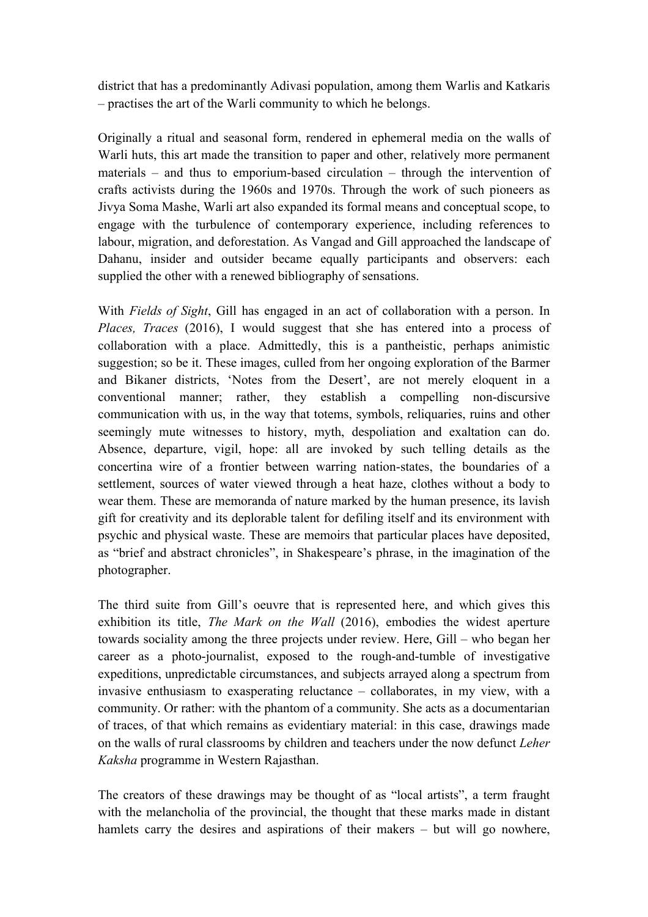district that has a predominantly Adivasi population, among them Warlis and Katkaris – practises the art of the Warli community to which he belongs.

Originally a ritual and seasonal form, rendered in ephemeral media on the walls of Warli huts, this art made the transition to paper and other, relatively more permanent materials – and thus to emporium-based circulation – through the intervention of crafts activists during the 1960s and 1970s. Through the work of such pioneers as Jivya Soma Mashe, Warli art also expanded its formal means and conceptual scope, to engage with the turbulence of contemporary experience, including references to labour, migration, and deforestation. As Vangad and Gill approached the landscape of Dahanu, insider and outsider became equally participants and observers: each supplied the other with a renewed bibliography of sensations.

With *Fields of Sight*, Gill has engaged in an act of collaboration with a person. In *Places, Traces (2016)*, I would suggest that she has entered into a process of collaboration with a place. Admittedly, this is a pantheistic, perhaps animistic suggestion; so be it. These images, culled from her ongoing exploration of the Barmer and Bikaner districts, 'Notes from the Desert', are not merely eloquent in a conventional manner; rather, they establish a compelling non-discursive communication with us, in the way that totems, symbols, reliquaries, ruins and other seemingly mute witnesses to history, myth, despoliation and exaltation can do. Absence, departure, vigil, hope: all are invoked by such telling details as the concertina wire of a frontier between warring nation-states, the boundaries of a settlement, sources of water viewed through a heat haze, clothes without a body to wear them. These are memoranda of nature marked by the human presence, its lavish gift for creativity and its deplorable talent for defiling itself and its environment with psychic and physical waste. These are memoirs that particular places have deposited, as "brief and abstract chronicles", in Shakespeare's phrase, in the imagination of the photographer.

The third suite from Gill's oeuvre that is represented here, and which gives this exhibition its title, *The Mark on the Wall* (2016), embodies the widest aperture towards sociality among the three projects under review. Here, Gill – who began her career as a photo-journalist, exposed to the rough-and-tumble of investigative expeditions, unpredictable circumstances, and subjects arrayed along a spectrum from invasive enthusiasm to exasperating reluctance – collaborates, in my view, with a community. Or rather: with the phantom of a community. She acts as a documentarian of traces, of that which remains as evidentiary material: in this case, drawings made on the walls of rural classrooms by children and teachers under the now defunct *Leher Kaksha* programme in Western Rajasthan.

The creators of these drawings may be thought of as "local artists", a term fraught with the melancholia of the provincial, the thought that these marks made in distant hamlets carry the desires and aspirations of their makers – but will go nowhere,